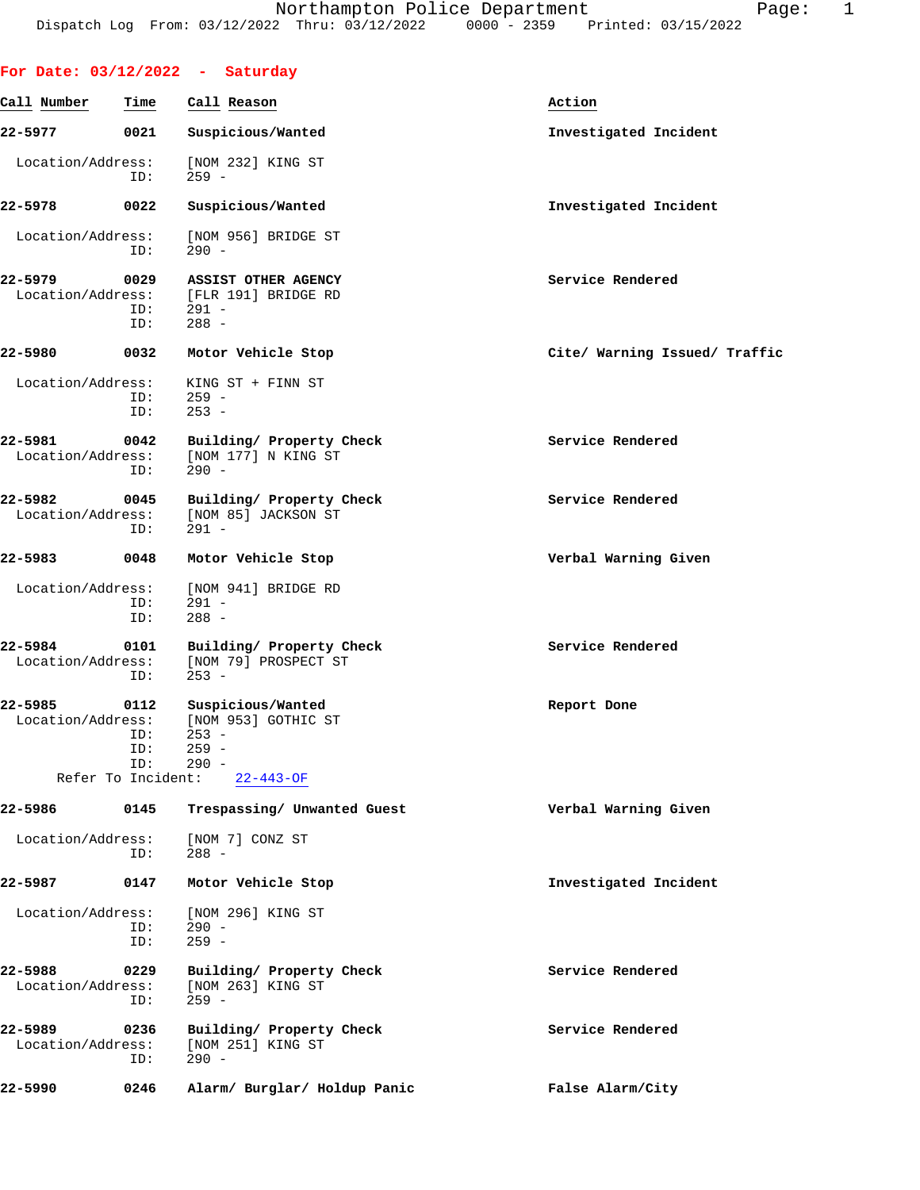**For Date: 03/12/2022 - Saturday**

 Location/Address: [NOM 232] KING ST ID: 259 -

 Location/Address: [NOM 956] BRIDGE ST ID: 290 - **22-5979 0029 ASSIST OTHER AGENCY Service Rendered** Location/Address: [FLR 191] BRIDGE RD ID: 291 - ID: 288 - **22-5980 0032 Motor Vehicle Stop Cite/ Warning Issued/ Traffic** Location/Address: KING ST + FINN ST ID: 259 - ID: 253 - **22-5981 0042 Building/ Property Check Service Rendered** Location/Address: [NOM 177] N KING ST ID: 290 - **22-5982 0045 Building/ Property Check Service Rendered** Location/Address: [NOM 85] JACKSON ST ID: 291 - **22-5983 0048 Motor Vehicle Stop Verbal Warning Given**

Location/Address: [NOM 941] BRIDGE RD<br>ID: 291 - $291 -$  ID: 288 - **22-5984 0101 Building/ Property Check Service Rendered** Location/Address: [NOM 79] PROSPECT ST ID: 253 -

## **22-5985 0112 Suspicious/Wanted Report Done** Location/Address: [NOM 953] GOTHIC ST ID: 253 - ID: 259 - ID: 290 - Refer To Incident: 22-443-OF

**22-5986 0145 Trespassing/ Unwanted Guest Verbal Warning Given** Location/Address: [NOM 7] CONZ ST ID: 288 - **22-5987 0147 Motor Vehicle Stop Investigated Incident** Location/Address: [NOM 296] KING ST ID: 290 - ID: 259 - **22-5988 0229 Building/ Property Check Service Rendered** Location/Address: [NOM 263] KING ST ID: 259 - **22-5989 0236 Building/ Property Check Service Rendered** Location/Address: ID: 290 -

**22-5990 0246 Alarm/ Burglar/ Holdup Panic False Alarm/City**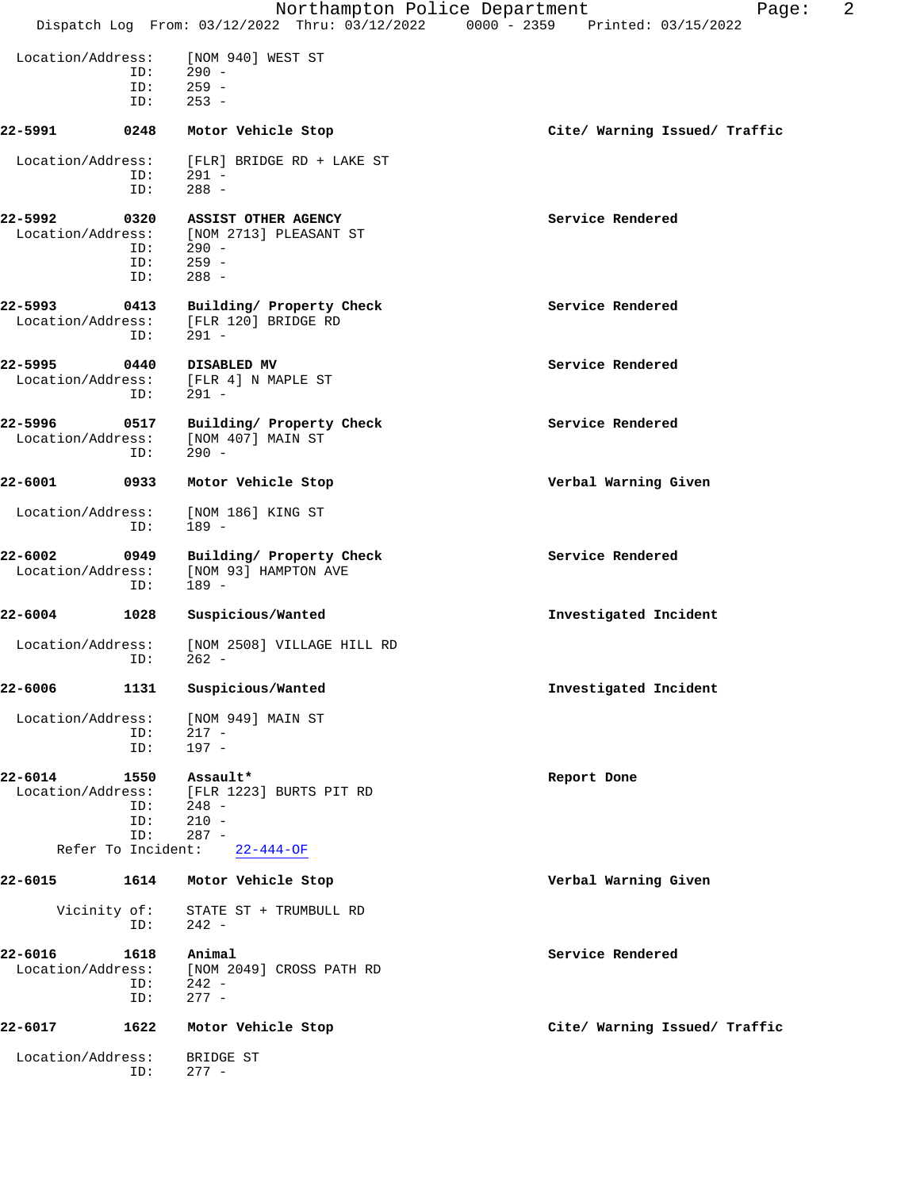|                                                    |                           | Northampton Police Department                                                                      | 2<br>Page:<br>Dispatch Log From: 03/12/2022 Thru: 03/12/2022 0000 - 2359 Printed: 03/15/2022 |
|----------------------------------------------------|---------------------------|----------------------------------------------------------------------------------------------------|----------------------------------------------------------------------------------------------|
| Location/Address:                                  | ID:<br>ID:<br>ID:         | [NOM 940] WEST ST<br>$290 -$<br>$259 -$<br>$253 -$                                                 |                                                                                              |
| 22-5991                                            | 0248                      | Motor Vehicle Stop                                                                                 | Cite/ Warning Issued/ Traffic                                                                |
| Location/Address:                                  | ID:<br>ID:                | [FLR] BRIDGE RD + LAKE ST<br>291 -<br>$288 -$                                                      |                                                                                              |
| 22-5992                                            | 0320<br>ID:<br>ID:        | ASSIST OTHER AGENCY<br>Location/Address: [NOM 2713] PLEASANT ST<br>ID: 290 -<br>$259 -$<br>$288 -$ | Service Rendered                                                                             |
| 22-5993<br>Location/Address:                       | 0413<br>ID:               | Building/ Property Check<br>[FLR 120] BRIDGE RD<br>$291 -$                                         | Service Rendered                                                                             |
| 22-5995<br>Location/Address:                       | 0440<br>ID:               | DISABLED MV<br>[FLR 4] N MAPLE ST<br>291 -                                                         | Service Rendered                                                                             |
| 22-5996<br>Location/Address:                       | 0517<br>ID:               | Building/ Property Check<br>[NOM 407] MAIN ST<br>$290 -$                                           | Service Rendered                                                                             |
| $22 - 6001$                                        | 0933                      | Motor Vehicle Stop                                                                                 | Verbal Warning Given                                                                         |
| Location/Address:                                  | ID:                       | [NOM 186] KING ST<br>$189 -$                                                                       |                                                                                              |
| 22-6002<br>Location/Address:                       | 0949<br>ID:               | Building/ Property Check<br>[NOM 93] HAMPTON AVE<br>$189 -$                                        | Service Rendered                                                                             |
| 22-6004                                            | 1028                      | Suspicious/Wanted                                                                                  | Investigated Incident                                                                        |
| Location/Address:                                  | ID:                       | [NOM 2508] VILLAGE HILL RD<br>$262 -$                                                              |                                                                                              |
| 22-6006                                            | 1131                      | Suspicious/Wanted                                                                                  | Investigated Incident                                                                        |
| Location/Address:                                  | ID:<br>ID:                | [NOM 949] MAIN ST<br>$217 -$<br>$197 -$                                                            |                                                                                              |
| 22-6014<br>Location/Address:<br>Refer To Incident: | 1550<br>ID:<br>ID:<br>ID: | Assault*<br>[FLR 1223] BURTS PIT RD<br>$248 -$<br>$210 -$<br>$287 -$                               | Report Done                                                                                  |
|                                                    |                           | 22-444-OF                                                                                          |                                                                                              |
| 22-6015                                            | 1614                      | Motor Vehicle Stop                                                                                 | Verbal Warning Given                                                                         |
| Vicinity of:                                       | ID:                       | STATE ST + TRUMBULL RD<br>242 -                                                                    |                                                                                              |
| 22-6016<br>Location/Address:                       | 1618<br>ID:<br>ID:        | Animal<br>[NOM 2049] CROSS PATH RD<br>$242 -$<br>$277 -$                                           | Service Rendered                                                                             |
| 22-6017                                            | 1622                      | Motor Vehicle Stop                                                                                 | Cite/ Warning Issued/ Traffic                                                                |
| Location/Address:                                  | ID:                       | BRIDGE ST<br>$277 -$                                                                               |                                                                                              |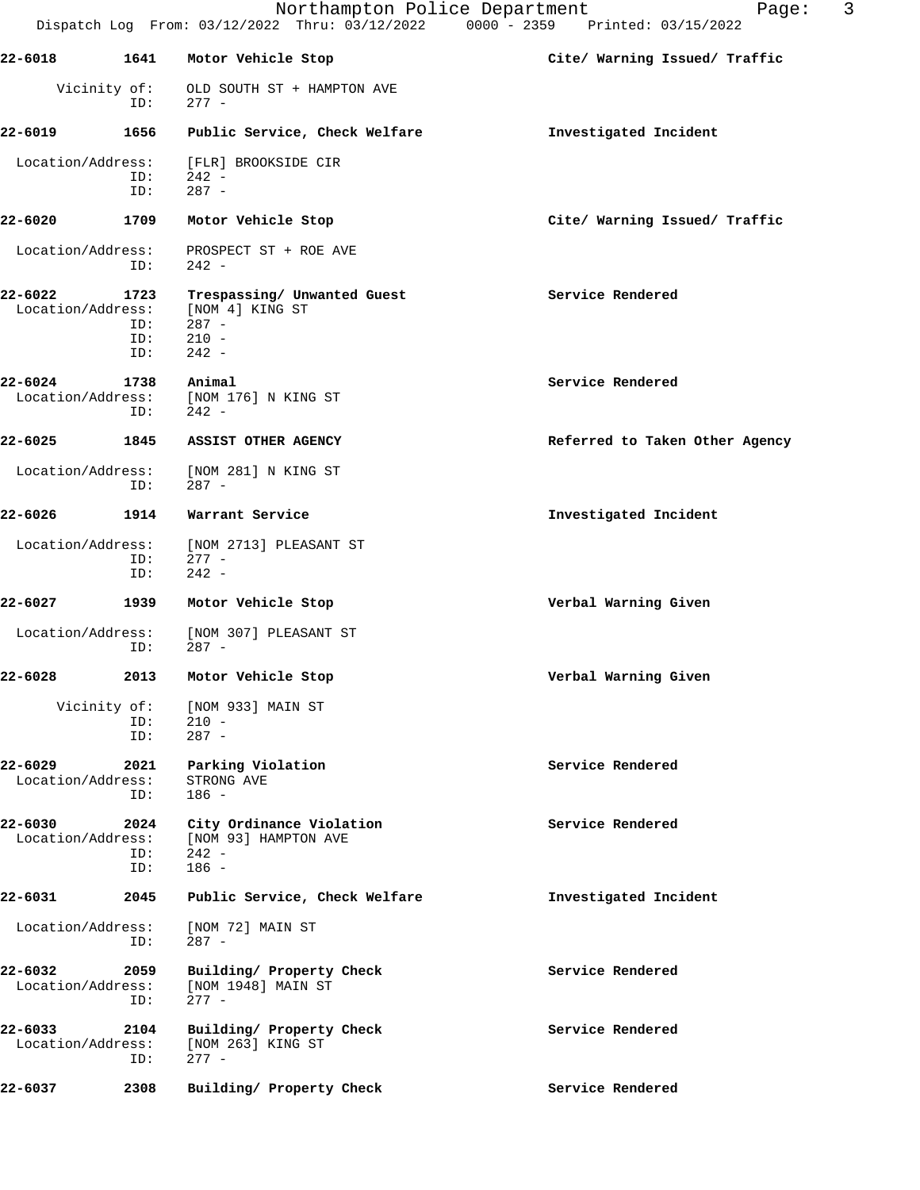|                              |                            | Dispatch Log From: 03/12/2022 Thru: 03/12/2022 0000 - 2359 Printed: 03/15/2022  | 3<br>Northampton Police Department<br>Page: |
|------------------------------|----------------------------|---------------------------------------------------------------------------------|---------------------------------------------|
| 22-6018                      | 1641                       | Motor Vehicle Stop                                                              | Cite/ Warning Issued/ Traffic               |
|                              | Vicinity of:<br>ID:        | OLD SOUTH ST + HAMPTON AVE<br>$277 -$                                           |                                             |
| 22-6019                      | 1656                       | Public Service, Check Welfare                                                   | Investigated Incident                       |
| Location/Address:            | ID:<br>ID:                 | [FLR] BROOKSIDE CIR<br>$242 -$<br>$287 -$                                       |                                             |
| 22-6020                      | 1709                       | Motor Vehicle Stop                                                              | Cite/ Warning Issued/ Traffic               |
| Location/Address:            | ID:                        | PROSPECT ST + ROE AVE<br>$242 -$                                                |                                             |
| 22-6022<br>Location/Address: | 1723<br>ID:<br>ID:<br>ID:  | Trespassing/ Unwanted Guest<br>[NOM 4] KING ST<br>$287 -$<br>$210 -$<br>$242 -$ | Service Rendered                            |
| 22-6024<br>Location/Address: | 1738<br>ID:                | Animal<br>[NOM 176] N KING ST<br>$242 -$                                        | Service Rendered                            |
| 22-6025                      | 1845                       | ASSIST OTHER AGENCY                                                             | Referred to Taken Other Agency              |
| Location/Address:            | ID:                        | [NOM 281] N KING ST<br>287 -                                                    |                                             |
| 22-6026                      | 1914                       | Warrant Service                                                                 | Investigated Incident                       |
| Location/Address:            | ID:<br>ID:                 | [NOM 2713] PLEASANT ST<br>$277 -$<br>$242 -$                                    |                                             |
| 22-6027                      | 1939                       | Motor Vehicle Stop                                                              | Verbal Warning Given                        |
| Location/Address:            | ID:                        | [NOM 307] PLEASANT ST<br>287 -                                                  |                                             |
| 22-6028                      |                            | 2013 Motor Vehicle Stop                                                         | Verbal Warning Given                        |
|                              | Vicinity of:<br>ID:<br>ID: | [NOM 933] MAIN ST<br>$210 -$<br>$287 -$                                         |                                             |
| 22-6029<br>Location/Address: | 2021<br>ID:                | Parking Violation<br>STRONG AVE<br>$186 -$                                      | Service Rendered                            |
| 22-6030<br>Location/Address: | 2024<br>ID:<br>ID:         | City Ordinance Violation<br>[NOM 93] HAMPTON AVE<br>$242 -$<br>$186 -$          | Service Rendered                            |
| 22-6031                      | 2045                       | Public Service, Check Welfare                                                   | Investigated Incident                       |
| Location/Address:            | ID:                        | [NOM 72] MAIN ST<br>$287 -$                                                     |                                             |
| 22-6032<br>Location/Address: | 2059<br>ID:                | Building/ Property Check<br>[NOM 1948] MAIN ST<br>$277 -$                       | Service Rendered                            |
| 22-6033<br>Location/Address: | 2104<br>ID:                | Building/ Property Check<br>[NOM 263] KING ST<br>$277 -$                        | Service Rendered                            |
| 22-6037                      | 2308                       | Building/ Property Check                                                        | Service Rendered                            |